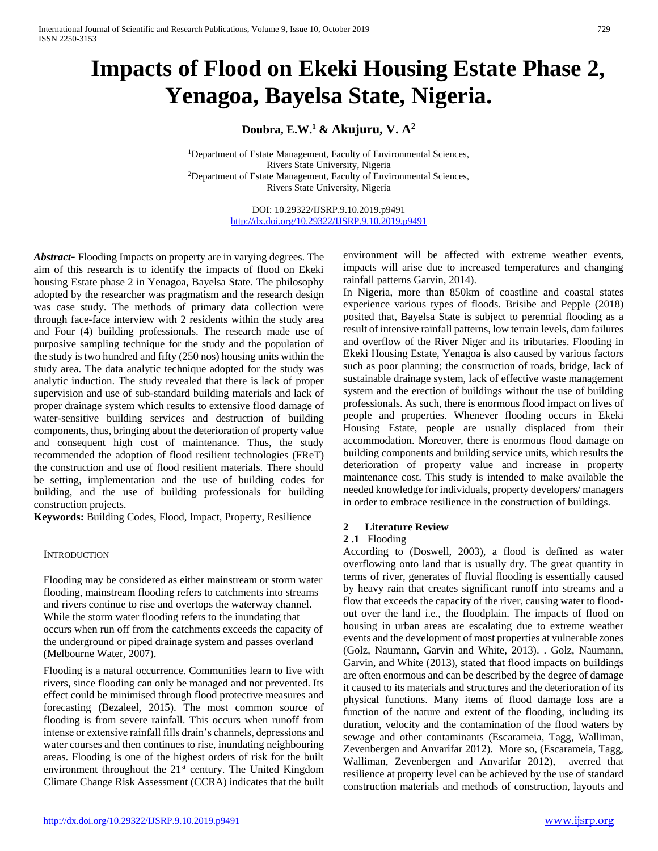# **Impacts of Flood on Ekeki Housing Estate Phase 2, Yenagoa, Bayelsa State, Nigeria.**

**Doubra, E.W.<sup>1</sup> & Akujuru, V. A<sup>2</sup>**

<sup>1</sup>Department of Estate Management, Faculty of Environmental Sciences, Rivers State University, Nigeria <sup>2</sup>Department of Estate Management, Faculty of Environmental Sciences, Rivers State University, Nigeria

> DOI: 10.29322/IJSRP.9.10.2019.p9491 <http://dx.doi.org/10.29322/IJSRP.9.10.2019.p9491>

*Abstract***-** Flooding Impacts on property are in varying degrees. The aim of this research is to identify the impacts of flood on Ekeki housing Estate phase 2 in Yenagoa, Bayelsa State. The philosophy adopted by the researcher was pragmatism and the research design was case study. The methods of primary data collection were through face-face interview with 2 residents within the study area and Four (4) building professionals. The research made use of purposive sampling technique for the study and the population of the study is two hundred and fifty (250 nos) housing units within the study area. The data analytic technique adopted for the study was analytic induction. The study revealed that there is lack of proper supervision and use of sub-standard building materials and lack of proper drainage system which results to extensive flood damage of water-sensitive building services and destruction of building components, thus, bringing about the deterioration of property value and consequent high cost of maintenance. Thus, the study recommended the adoption of flood resilient technologies (FReT) the construction and use of flood resilient materials. There should be setting, implementation and the use of building codes for building, and the use of building professionals for building construction projects.

**Keywords:** Building Codes, Flood, Impact, Property, Resilience

#### **INTRODUCTION**

Flooding may be considered as either mainstream or storm water flooding, mainstream flooding refers to catchments into streams and rivers continue to rise and overtops the waterway channel. While the storm water flooding refers to the inundating that occurs when run off from the catchments exceeds the capacity of the underground or piped drainage system and passes overland (Melbourne Water, 2007).

Flooding is a natural occurrence. Communities learn to live with rivers, since flooding can only be managed and not prevented. Its effect could be minimised through flood protective measures and forecasting (Bezaleel, 2015). The most common source of flooding is from severe rainfall. This occurs when runoff from intense or extensive rainfall fills drain's channels, depressions and water courses and then continues to rise, inundating neighbouring areas. Flooding is one of the highest orders of risk for the built environment throughout the  $21<sup>st</sup>$  century. The United Kingdom Climate Change Risk Assessment (CCRA) indicates that the built

environment will be affected with extreme weather events, impacts will arise due to increased temperatures and changing rainfall patterns Garvin, 2014).

In Nigeria, more than 850km of coastline and coastal states experience various types of floods. Brisibe and Pepple (2018) posited that, Bayelsa State is subject to perennial flooding as a result of intensive rainfall patterns, low terrain levels, dam failures and overflow of the River Niger and its tributaries. Flooding in Ekeki Housing Estate, Yenagoa is also caused by various factors such as poor planning; the construction of roads, bridge, lack of sustainable drainage system, lack of effective waste management system and the erection of buildings without the use of building professionals. As such, there is enormous flood impact on lives of people and properties. Whenever flooding occurs in Ekeki Housing Estate, people are usually displaced from their accommodation. Moreover, there is enormous flood damage on building components and building service units, which results the deterioration of property value and increase in property maintenance cost. This study is intended to make available the needed knowledge for individuals, property developers/ managers in order to embrace resilience in the construction of buildings.

#### **2 Literature Review**

#### **2 .1** Flooding

According to (Doswell, 2003), a flood is defined as water overflowing onto land that is usually dry. The great quantity in terms of river, generates of fluvial flooding is essentially caused by heavy rain that creates significant runoff into streams and a flow that exceeds the capacity of the river, causing water to floodout over the land i.e., the floodplain. The impacts of flood on housing in urban areas are escalating due to extreme weather events and the development of most properties at vulnerable zones (Golz, Naumann, Garvin and White, 2013). . Golz, Naumann, Garvin, and White (2013), stated that flood impacts on buildings are often enormous and can be described by the degree of damage it caused to its materials and structures and the deterioration of its physical functions. Many items of flood damage loss are a function of the nature and extent of the flooding, including its duration, velocity and the contamination of the flood waters by sewage and other contaminants (Escarameia, Tagg, Walliman, Zevenbergen and Anvarifar 2012). More so, (Escarameia, Tagg, Walliman, Zevenbergen and Anvarifar 2012), averred that resilience at property level can be achieved by the use of standard construction materials and methods of construction, layouts and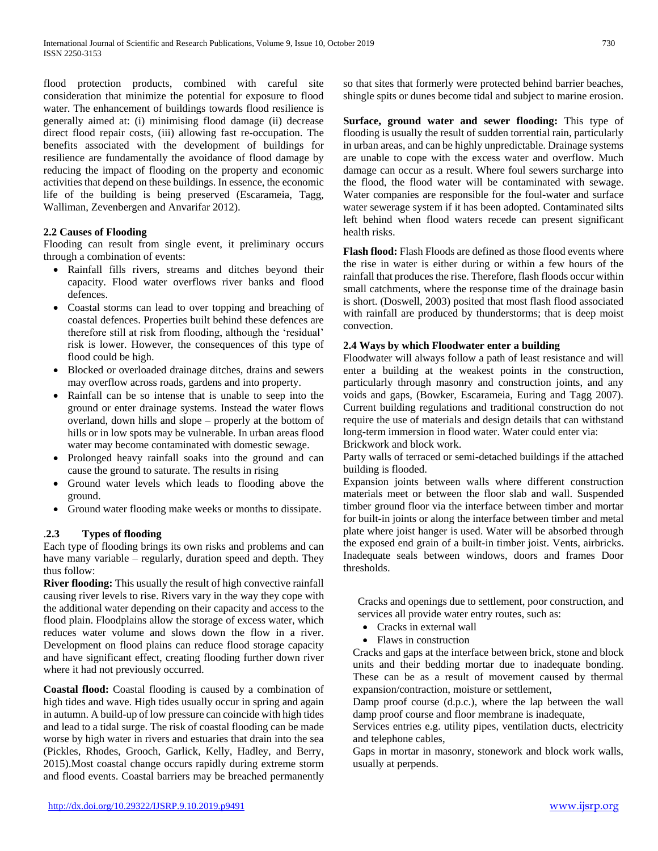flood protection products, combined with careful site consideration that minimize the potential for exposure to flood water. The enhancement of buildings towards flood resilience is generally aimed at: (i) minimising flood damage (ii) decrease direct flood repair costs, (iii) allowing fast re-occupation. The benefits associated with the development of buildings for resilience are fundamentally the avoidance of flood damage by reducing the impact of flooding on the property and economic activities that depend on these buildings. In essence, the economic life of the building is being preserved (Escarameia, Tagg, Walliman, Zevenbergen and Anvarifar 2012).

# **2.2 Causes of Flooding**

Flooding can result from single event, it preliminary occurs through a combination of events:

- Rainfall fills rivers, streams and ditches beyond their capacity. Flood water overflows river banks and flood defences.
- Coastal storms can lead to over topping and breaching of coastal defences. Properties built behind these defences are therefore still at risk from flooding, although the 'residual' risk is lower. However, the consequences of this type of flood could be high.
- Blocked or overloaded drainage ditches, drains and sewers may overflow across roads, gardens and into property.
- Rainfall can be so intense that is unable to seep into the ground or enter drainage systems. Instead the water flows overland, down hills and slope – properly at the bottom of hills or in low spots may be vulnerable. In urban areas flood water may become contaminated with domestic sewage.
- Prolonged heavy rainfall soaks into the ground and can cause the ground to saturate. The results in rising
- Ground water levels which leads to flooding above the ground.
- Ground water flooding make weeks or months to dissipate.

# .**2.3 Types of flooding**

Each type of flooding brings its own risks and problems and can have many variable – regularly, duration speed and depth. They thus follow:

**River flooding:** This usually the result of high convective rainfall causing river levels to rise. Rivers vary in the way they cope with the additional water depending on their capacity and access to the flood plain. Floodplains allow the storage of excess water, which reduces water volume and slows down the flow in a river. Development on flood plains can reduce flood storage capacity and have significant effect, creating flooding further down river where it had not previously occurred.

**Coastal flood:** Coastal flooding is caused by a combination of high tides and wave. High tides usually occur in spring and again in autumn. A build-up of low pressure can coincide with high tides and lead to a tidal surge. The risk of coastal flooding can be made worse by high water in rivers and estuaries that drain into the sea (Pickles, Rhodes, Grooch, Garlick, Kelly, Hadley, and Berry, 2015).Most coastal change occurs rapidly during extreme storm and flood events. Coastal barriers may be breached permanently so that sites that formerly were protected behind barrier beaches, shingle spits or dunes become tidal and subject to marine erosion.

**Surface, ground water and sewer flooding:** This type of flooding is usually the result of sudden torrential rain, particularly in urban areas, and can be highly unpredictable. Drainage systems are unable to cope with the excess water and overflow. Much damage can occur as a result. Where foul sewers surcharge into the flood, the flood water will be contaminated with sewage. Water companies are responsible for the foul-water and surface water sewerage system if it has been adopted. Contaminated silts left behind when flood waters recede can present significant health risks.

**Flash flood:** Flash Floods are defined as those flood events where the rise in water is either during or within a few hours of the rainfall that produces the rise. Therefore, flash floods occur within small catchments, where the response time of the drainage basin is short. (Doswell, 2003) posited that most flash flood associated with rainfall are produced by thunderstorms; that is deep moist convection.

# **2.4 Ways by which Floodwater enter a building**

Floodwater will always follow a path of least resistance and will enter a building at the weakest points in the construction, particularly through masonry and construction joints, and any voids and gaps, (Bowker, Escarameia, Euring and Tagg 2007). Current building regulations and traditional construction do not require the use of materials and design details that can withstand long-term immersion in flood water. Water could enter via:

Brickwork and block work.

Party walls of terraced or semi-detached buildings if the attached building is flooded.

Expansion joints between walls where different construction materials meet or between the floor slab and wall. Suspended timber ground floor via the interface between timber and mortar for built-in joints or along the interface between timber and metal plate where joist hanger is used. Water will be absorbed through the exposed end grain of a built-in timber joist. Vents, airbricks. Inadequate seals between windows, doors and frames Door thresholds.

Cracks and openings due to settlement, poor construction, and services all provide water entry routes, such as:

- Cracks in external wall
- Flaws in construction

Cracks and gaps at the interface between brick, stone and block units and their bedding mortar due to inadequate bonding. These can be as a result of movement caused by thermal expansion/contraction, moisture or settlement,

Damp proof course (d.p.c.), where the lap between the wall damp proof course and floor membrane is inadequate,

Services entries e.g. utility pipes, ventilation ducts, electricity and telephone cables,

Gaps in mortar in masonry, stonework and block work walls, usually at perpends.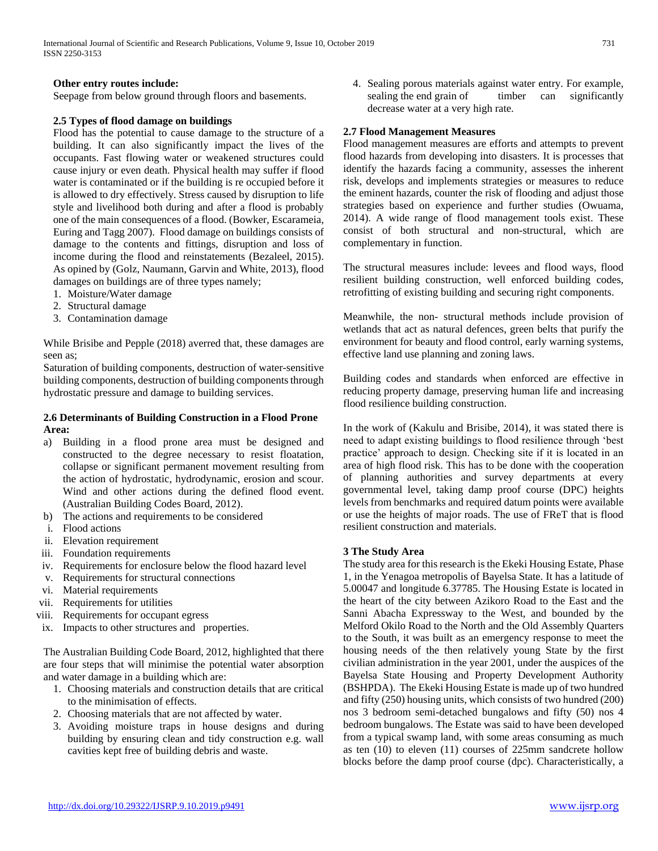#### **Other entry routes include:**

Seepage from below ground through floors and basements.

#### **2.5 Types of flood damage on buildings**

Flood has the potential to cause damage to the structure of a building. It can also significantly impact the lives of the occupants. Fast flowing water or weakened structures could cause injury or even death. Physical health may suffer if flood water is contaminated or if the building is re occupied before it is allowed to dry effectively. Stress caused by disruption to life style and livelihood both during and after a flood is probably one of the main consequences of a flood. (Bowker, Escarameia, Euring and Tagg 2007). Flood damage on buildings consists of damage to the contents and fittings, disruption and loss of income during the flood and reinstatements (Bezaleel, 2015). As opined by (Golz, Naumann, Garvin and White, 2013), flood damages on buildings are of three types namely;

- 1. Moisture/Water damage
- 2. Structural damage
- 3. Contamination damage

While Brisibe and Pepple (2018) averred that, these damages are seen as;

Saturation of building components, destruction of water-sensitive building components, destruction of building components through hydrostatic pressure and damage to building services.

## **2.6 Determinants of Building Construction in a Flood Prone Area:**

- a) Building in a flood prone area must be designed and constructed to the degree necessary to resist floatation, collapse or significant permanent movement resulting from the action of hydrostatic, hydrodynamic, erosion and scour. Wind and other actions during the defined flood event. (Australian Building Codes Board, 2012).
- b) The actions and requirements to be considered
- i. Flood actions
- ii. Elevation requirement
- iii. Foundation requirements
- iv. Requirements for enclosure below the flood hazard level
- v. Requirements for structural connections
- vi. Material requirements
- vii. Requirements for utilities
- viii. Requirements for occupant egress
- ix. Impacts to other structures and properties.

The Australian Building Code Board, 2012, highlighted that there are four steps that will minimise the potential water absorption and water damage in a building which are:

- 1. Choosing materials and construction details that are critical to the minimisation of effects.
- 2. Choosing materials that are not affected by water.
- 3. Avoiding moisture traps in house designs and during building by ensuring clean and tidy construction e.g. wall cavities kept free of building debris and waste.

4. Sealing porous materials against water entry. For example, sealing the end grain of timber can significantly decrease water at a very high rate.

#### **2.7 Flood Management Measures**

Flood management measures are efforts and attempts to prevent flood hazards from developing into disasters. It is processes that identify the hazards facing a community, assesses the inherent risk, develops and implements strategies or measures to reduce the eminent hazards, counter the risk of flooding and adjust those strategies based on experience and further studies (Owuama, 2014). A wide range of flood management tools exist. These consist of both structural and non-structural, which are complementary in function.

The structural measures include: levees and flood ways, flood resilient building construction, well enforced building codes, retrofitting of existing building and securing right components.

Meanwhile, the non- structural methods include provision of wetlands that act as natural defences, green belts that purify the environment for beauty and flood control, early warning systems, effective land use planning and zoning laws.

Building codes and standards when enforced are effective in reducing property damage, preserving human life and increasing flood resilience building construction.

In the work of (Kakulu and Brisibe, 2014), it was stated there is need to adapt existing buildings to flood resilience through 'best practice' approach to design. Checking site if it is located in an area of high flood risk. This has to be done with the cooperation of planning authorities and survey departments at every governmental level, taking damp proof course (DPC) heights levels from benchmarks and required datum points were available or use the heights of major roads. The use of FReT that is flood resilient construction and materials.

#### **3 The Study Area**

The study area for this research is the Ekeki Housing Estate, Phase 1, in the Yenagoa metropolis of Bayelsa State. It has a latitude of 5.00047 and longitude 6.37785. The Housing Estate is located in the heart of the city between Azikoro Road to the East and the Sanni Abacha Expressway to the West, and bounded by the Melford Okilo Road to the North and the Old Assembly Quarters to the South, it was built as an emergency response to meet the housing needs of the then relatively young State by the first civilian administration in the year 2001, under the auspices of the Bayelsa State Housing and Property Development Authority (BSHPDA). The Ekeki Housing Estate is made up of two hundred and fifty (250) housing units, which consists of two hundred (200) nos 3 bedroom semi-detached bungalows and fifty (50) nos 4 bedroom bungalows. The Estate was said to have been developed from a typical swamp land, with some areas consuming as much as ten (10) to eleven (11) courses of 225mm sandcrete hollow blocks before the damp proof course (dpc). Characteristically, a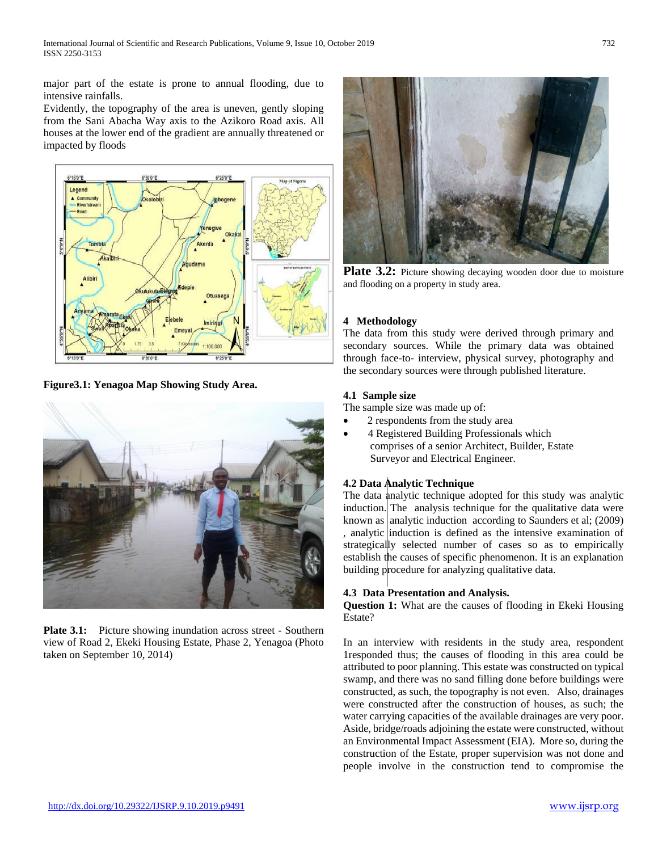major part of the estate is prone to annual flooding, due to intensive rainfalls.

Evidently, the topography of the area is uneven, gently sloping from the Sani Abacha Way axis to the Azikoro Road axis. All houses at the lower end of the gradient are annually threatened or impacted by floods



**Figure3.1: Yenagoa Map Showing Study Area.**



**Plate 3.1:** Picture showing inundation across street - Southern view of Road 2, Ekeki Housing Estate, Phase 2, Yenagoa (Photo taken on September 10, 2014)



**Plate 3.2:** Picture showing decaying wooden door due to moisture and flooding on a property in study area.

# **4 Methodology**

The data from this study were derived through primary and secondary sources. While the primary data was obtained through face-to- interview, physical survey, photography and the secondary sources were through published literature.

# **4.1 Sample size**

The sample size was made up of:

- 2 respondents from the study area
- 4 Registered Building Professionals which comprises of a senior Architect, Builder, Estate Surveyor and Electrical Engineer.

# **4.2 Data Analytic Technique**

The data analytic technique adopted for this study was analytic induction. The analysis technique for the qualitative data were known as analytic induction according to Saunders et al;  $(2009)$ , analytic induction is defined as the intensive examination of strategically selected number of cases so as to empirically establish the causes of specific phenomenon. It is an explanation building procedure for analyzing qualitative data.

# **4.3 Data Presentation and Analysis.**

**Question 1:** What are the causes of flooding in Ekeki Housing Estate?

In an interview with residents in the study area, respondent 1responded thus; the causes of flooding in this area could be attributed to poor planning. This estate was constructed on typical swamp, and there was no sand filling done before buildings were constructed, as such, the topography is not even. Also, drainages were constructed after the construction of houses, as such; the water carrying capacities of the available drainages are very poor. Aside, bridge/roads adjoining the estate were constructed, without an Environmental Impact Assessment (EIA). More so, during the construction of the Estate, proper supervision was not done and people involve in the construction tend to compromise the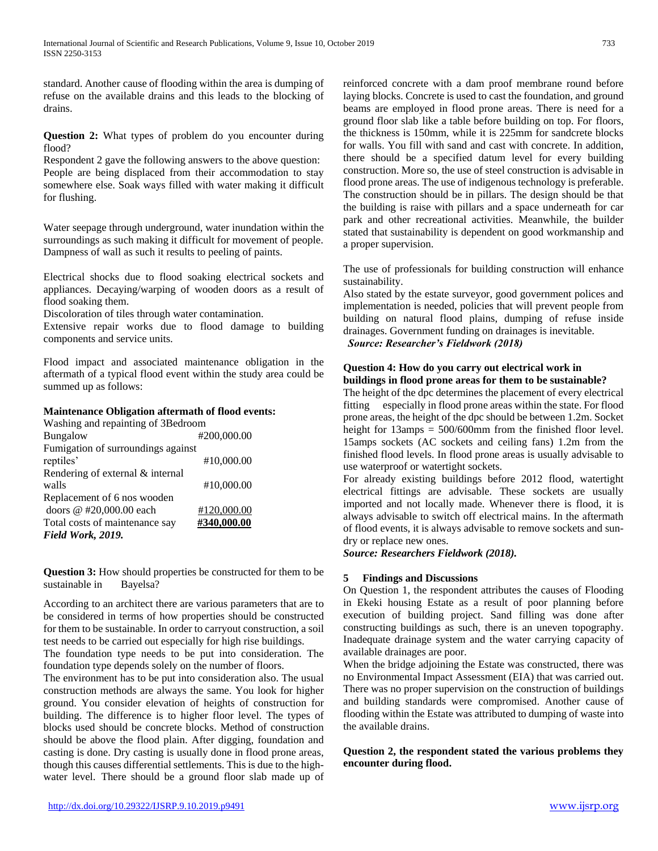standard. Another cause of flooding within the area is dumping of refuse on the available drains and this leads to the blocking of drains.

**Question 2:** What types of problem do you encounter during flood?

Respondent 2 gave the following answers to the above question: People are being displaced from their accommodation to stay somewhere else. Soak ways filled with water making it difficult for flushing.

Water seepage through underground, water inundation within the surroundings as such making it difficult for movement of people. Dampness of wall as such it results to peeling of paints.

Electrical shocks due to flood soaking electrical sockets and appliances. Decaying/warping of wooden doors as a result of flood soaking them.

Discoloration of tiles through water contamination.

Extensive repair works due to flood damage to building components and service units.

Flood impact and associated maintenance obligation in the aftermath of a typical flood event within the study area could be summed up as follows:

# **Maintenance Obligation aftermath of flood events:**

| Washing and repainting of 3Bedroom |             |
|------------------------------------|-------------|
| <b>Bungalow</b>                    | #200,000.00 |
| Fumigation of surroundings against |             |
| reptiles'                          | #10,000.00  |
| Rendering of external & internal   |             |
| walls                              | #10,000.00  |
| Replacement of 6 nos wooden        |             |
| doors @ #20,000.00 each            | #120,000.00 |
| Total costs of maintenance say     | #340,000.00 |
| Field Work, 2019.                  |             |

**Question 3:** How should properties be constructed for them to be sustainable in Bayelsa?

According to an architect there are various parameters that are to be considered in terms of how properties should be constructed for them to be sustainable. In order to carryout construction, a soil test needs to be carried out especially for high rise buildings.

The foundation type needs to be put into consideration. The foundation type depends solely on the number of floors.

The environment has to be put into consideration also. The usual construction methods are always the same. You look for higher ground. You consider elevation of heights of construction for building. The difference is to higher floor level. The types of blocks used should be concrete blocks. Method of construction should be above the flood plain. After digging, foundation and casting is done. Dry casting is usually done in flood prone areas, though this causes differential settlements. This is due to the highwater level. There should be a ground floor slab made up of reinforced concrete with a dam proof membrane round before laying blocks. Concrete is used to cast the foundation, and ground beams are employed in flood prone areas. There is need for a ground floor slab like a table before building on top. For floors, the thickness is 150mm, while it is 225mm for sandcrete blocks for walls. You fill with sand and cast with concrete. In addition, there should be a specified datum level for every building construction. More so, the use of steel construction is advisable in flood prone areas. The use of indigenous technology is preferable. The construction should be in pillars. The design should be that the building is raise with pillars and a space underneath for car park and other recreational activities. Meanwhile, the builder stated that sustainability is dependent on good workmanship and a proper supervision.

The use of professionals for building construction will enhance sustainability.

Also stated by the estate surveyor, good government polices and implementation is needed, policies that will prevent people from building on natural flood plains, dumping of refuse inside drainages. Government funding on drainages is inevitable. *Source: Researcher's Fieldwork (2018)*

#### **Question 4: How do you carry out electrical work in buildings in flood prone areas for them to be sustainable?**

The height of the dpc determines the placement of every electrical fitting especially in flood prone areas within the state. For flood prone areas, the height of the dpc should be between 1.2m. Socket height for 13amps = 500/600mm from the finished floor level. 15amps sockets (AC sockets and ceiling fans) 1.2m from the finished flood levels. In flood prone areas is usually advisable to use waterproof or watertight sockets.

For already existing buildings before 2012 flood, watertight electrical fittings are advisable. These sockets are usually imported and not locally made. Whenever there is flood, it is always advisable to switch off electrical mains. In the aftermath of flood events, it is always advisable to remove sockets and sundry or replace new ones.

*Source: Researchers Fieldwork (2018).*

# **5 Findings and Discussions**

On Question 1, the respondent attributes the causes of Flooding in Ekeki housing Estate as a result of poor planning before execution of building project. Sand filling was done after constructing buildings as such, there is an uneven topography. Inadequate drainage system and the water carrying capacity of available drainages are poor.

When the bridge adjoining the Estate was constructed, there was no Environmental Impact Assessment (EIA) that was carried out. There was no proper supervision on the construction of buildings and building standards were compromised. Another cause of flooding within the Estate was attributed to dumping of waste into the available drains.

**Question 2, the respondent stated the various problems they encounter during flood.**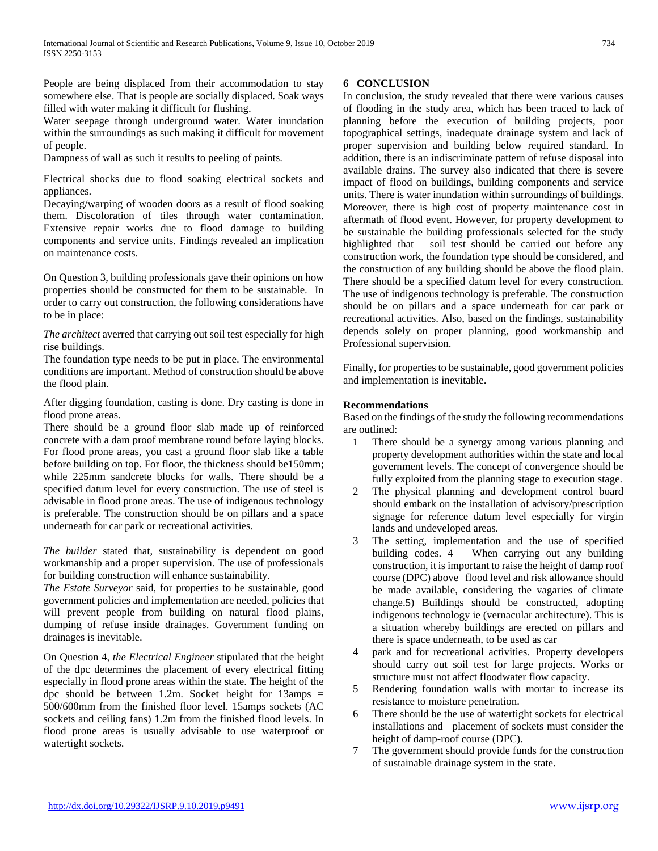People are being displaced from their accommodation to stay somewhere else. That is people are socially displaced. Soak ways filled with water making it difficult for flushing.

Water seepage through underground water. Water inundation within the surroundings as such making it difficult for movement of people.

Dampness of wall as such it results to peeling of paints.

Electrical shocks due to flood soaking electrical sockets and appliances.

Decaying/warping of wooden doors as a result of flood soaking them. Discoloration of tiles through water contamination. Extensive repair works due to flood damage to building components and service units. Findings revealed an implication on maintenance costs.

On Question 3, building professionals gave their opinions on how properties should be constructed for them to be sustainable. In order to carry out construction, the following considerations have to be in place:

*The architect* averred that carrying out soil test especially for high rise buildings.

The foundation type needs to be put in place. The environmental conditions are important. Method of construction should be above the flood plain.

After digging foundation, casting is done. Dry casting is done in flood prone areas.

There should be a ground floor slab made up of reinforced concrete with a dam proof membrane round before laying blocks. For flood prone areas, you cast a ground floor slab like a table before building on top. For floor, the thickness should be150mm; while 225mm sandcrete blocks for walls. There should be a specified datum level for every construction. The use of steel is advisable in flood prone areas. The use of indigenous technology is preferable. The construction should be on pillars and a space underneath for car park or recreational activities.

*The builder* stated that, sustainability is dependent on good workmanship and a proper supervision. The use of professionals for building construction will enhance sustainability.

*The Estate Surveyor* said, for properties to be sustainable, good government policies and implementation are needed, policies that will prevent people from building on natural flood plains, dumping of refuse inside drainages. Government funding on drainages is inevitable.

On Question 4, *the Electrical Engineer* stipulated that the height of the dpc determines the placement of every electrical fitting especially in flood prone areas within the state. The height of the dpc should be between 1.2m. Socket height for  $13 \text{amps} =$ 500/600mm from the finished floor level. 15amps sockets (AC sockets and ceiling fans) 1.2m from the finished flood levels. In flood prone areas is usually advisable to use waterproof or watertight sockets.

## **6 CONCLUSION**

In conclusion, the study revealed that there were various causes of flooding in the study area, which has been traced to lack of planning before the execution of building projects, poor topographical settings, inadequate drainage system and lack of proper supervision and building below required standard. In addition, there is an indiscriminate pattern of refuse disposal into available drains. The survey also indicated that there is severe impact of flood on buildings, building components and service units. There is water inundation within surroundings of buildings. Moreover, there is high cost of property maintenance cost in aftermath of flood event. However, for property development to be sustainable the building professionals selected for the study highlighted that soil test should be carried out before any construction work, the foundation type should be considered, and the construction of any building should be above the flood plain. There should be a specified datum level for every construction. The use of indigenous technology is preferable. The construction should be on pillars and a space underneath for car park or recreational activities. Also, based on the findings, sustainability depends solely on proper planning, good workmanship and Professional supervision.

Finally, for properties to be sustainable, good government policies and implementation is inevitable.

### **Recommendations**

Based on the findings of the study the following recommendations are outlined:

- 1 There should be a synergy among various planning and property development authorities within the state and local government levels. The concept of convergence should be fully exploited from the planning stage to execution stage.
- The physical planning and development control board should embark on the installation of advisory/prescription signage for reference datum level especially for virgin lands and undeveloped areas.
- 3 The setting, implementation and the use of specified building codes. 4 When carrying out any building construction, it is important to raise the height of damp roof course (DPC) above flood level and risk allowance should be made available, considering the vagaries of climate change.5) Buildings should be constructed, adopting indigenous technology ie (vernacular architecture). This is a situation whereby buildings are erected on pillars and there is space underneath, to be used as car
- 4 park and for recreational activities. Property developers should carry out soil test for large projects. Works or structure must not affect floodwater flow capacity.
- 5 Rendering foundation walls with mortar to increase its resistance to moisture penetration.
- 6 There should be the use of watertight sockets for electrical installations and placement of sockets must consider the height of damp-roof course (DPC).
- 7 The government should provide funds for the construction of sustainable drainage system in the state.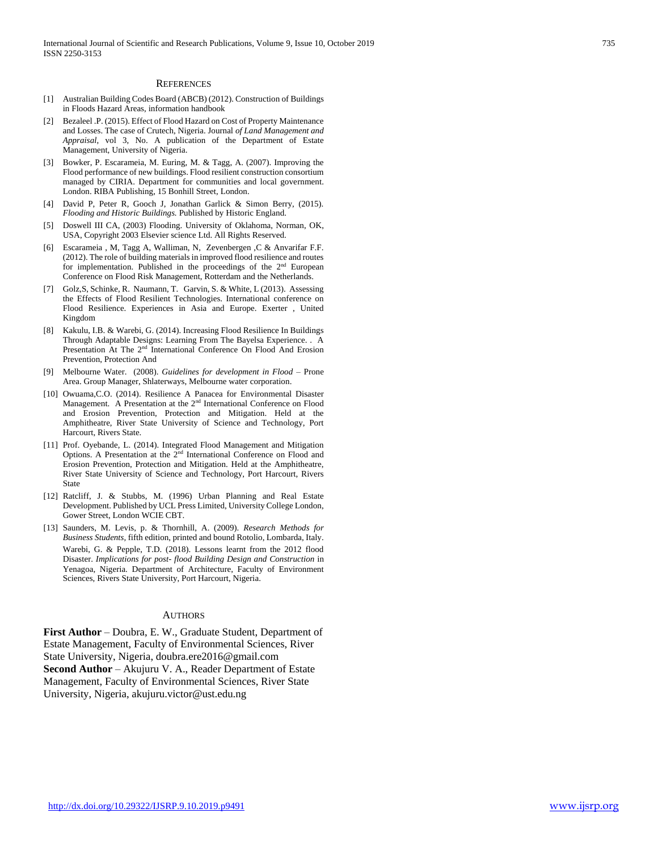#### **REFERENCES**

- [1] Australian Building Codes Board (ABCB) (2012). Construction of Buildings in Floods Hazard Areas, information handbook
- [2] Bezaleel .P. (2015). Effect of Flood Hazard on Cost of Property Maintenance and Losses. The case of Crutech, Nigeria. Journal *of Land Management and Appraisal*, vol 3, No. A publication of the Department of Estate Management, University of Nigeria.
- [3] Bowker, P. Escarameia, M. Euring, M. & Tagg, A. (2007). Improving the Flood performance of new buildings. Flood resilient construction consortium managed by CIRIA. Department for communities and local government. London. RIBA Publishing, 15 Bonhill Street, London.
- [4] David P, Peter R, Gooch J, Jonathan Garlick & Simon Berry, (2015). *Flooding and Historic Buildings.* Published by Historic England.
- [5] Doswell III CA, (2003) Flooding. University of Oklahoma, Norman, OK, USA, Copyright 2003 Elsevier science Ltd. All Rights Reserved.
- [6] Escarameia , M, Tagg A, Walliman, N, Zevenbergen ,C & Anvarifar F.F. (2012). The role of building materials in improved flood resilience and routes for implementation. Published in the proceedings of the 2nd European Conference on Flood Risk Management, Rotterdam and the Netherlands.
- [7] Golz,S, Schinke, R. Naumann, T. Garvin, S. & White, L (2013). Assessing the Effects of Flood Resilient Technologies. International conference on Flood Resilience. Experiences in Asia and Europe. Exerter , United Kingdom
- [8] Kakulu, I.B. & Warebi, G. (2014). Increasing Flood Resilience In Buildings Through Adaptable Designs: Learning From The Bayelsa Experience. . A Presentation At The 2<sup>nd</sup> International Conference On Flood And Erosion Prevention, Protection And
- [9] Melbourne Water. (2008). *Guidelines for development in Flood* Prone Area. Group Manager, Shlaterways, Melbourne water corporation.
- [10] Owuama, C.O. (2014). Resilience A Panacea for Environmental Disaster Management. A Presentation at the 2<sup>nd</sup> International Conference on Flood and Erosion Prevention, Protection and Mitigation. Held at the Amphitheatre, River State University of Science and Technology, Port Harcourt, Rivers State.
- [11] Prof. Oyebande, L. (2014). Integrated Flood Management and Mitigation Options. A Presentation at the 2<sup>nd</sup> International Conference on Flood and Erosion Prevention, Protection and Mitigation. Held at the Amphitheatre, River State University of Science and Technology, Port Harcourt, Rivers State
- [12] Ratcliff, J. & Stubbs, M. (1996) Urban Planning and Real Estate Development. Published by UCL Press Limited, University College London, Gower Street, London WCIE CBT.
- [13] Saunders, M. Levis, p. & Thornhill, A. (2009). *Research Methods for Business Students,* fifth edition, printed and bound Rotolio, Lombarda, Italy. Warebi, G. & Pepple, T.D. (2018). Lessons learnt from the 2012 flood Disaster. *Implications for post- flood Building Design and Construction* in Yenagoa, Nigeria. Department of Architecture, Faculty of Environment Sciences, Rivers State University, Port Harcourt, Nigeria.

#### AUTHORS

**First Author** – Doubra, E. W., Graduate Student, Department of Estate Management, Faculty of Environmental Sciences, River State University, Nigeria, doubra.ere2016@gmail.com **Second Author** – Akujuru V. A., Reader Department of Estate Management, Faculty of Environmental Sciences, River State University, Nigeria, akujuru.victor@ust.edu.ng